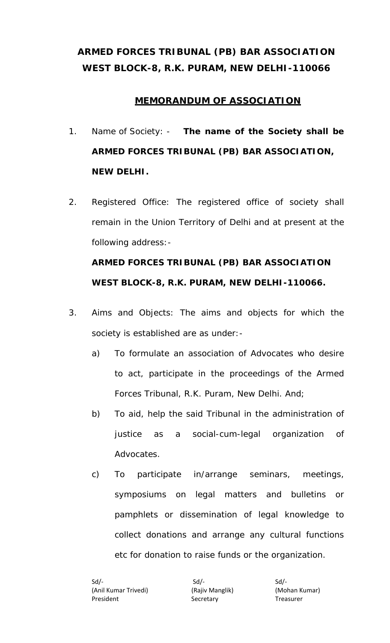## **ARMED FORCES TRIBUNAL (PB) BAR ASSOCIATION WEST BLOCK-8, R.K. PURAM, NEW DELHI-110066**

## **MEMORANDUM OF ASSOCIATION**

- 1. Name of Society: **The name of the Society shall be ARMED FORCES TRIBUNAL (PB) BAR ASSOCIATION, NEW DELHI.**
- 2. Registered Office: The registered office of society shall remain in the Union Territory of Delhi and at present at the following address:-

# **ARMED FORCES TRIBUNAL (PB) BAR ASSOCIATION WEST BLOCK-8, R.K. PURAM, NEW DELHI-110066.**

- 3. Aims and Objects: The aims and objects for which the society is established are as under:
	- a) To formulate an association of Advocates who desire to act, participate in the proceedings of the Armed Forces Tribunal, R.K. Puram, New Delhi. And;
	- b) To aid, help the said Tribunal in the administration of justice as a social-cum-legal organization of Advocates.
	- c) To participate in/arrange seminars, meetings, symposiums on legal matters and bulletins or pamphlets or dissemination of legal knowledge to collect donations and arrange any cultural functions etc for donation to raise funds or the organization.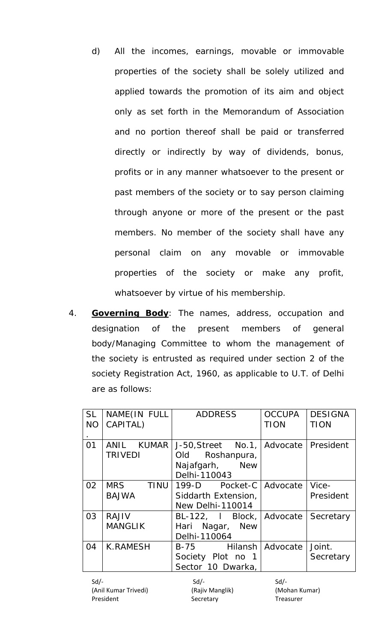- d) All the incomes, earnings, movable or immovable properties of the society shall be solely utilized and applied towards the promotion of its aim and object only as set forth in the Memorandum of Association and no portion thereof shall be paid or transferred directly or indirectly by way of dividends, bonus, profits or in any manner whatsoever to the present or past members of the society or to say person claiming through anyone or more of the present or the past members. No member of the society shall have any personal claim on any movable or immovable properties of the society or make any profit, whatsoever by virtue of his membership.
- 4. **Governing Body**: The names, address, occupation and designation of the present members of general body/Managing Committee to whom the management of the society is entrusted as required under section 2 of the society Registration Act, 1960, as applicable to U.T. of Delhi are as follows:

| <b>SL</b><br><b>NO</b> | NAME(IN FULL<br>CAPITAL)                  | <b>ADDRESS</b>                                                                                 | <b>OCCUPA</b><br><b>TION</b> | <b>DESIGNA</b><br><b>TION</b> |
|------------------------|-------------------------------------------|------------------------------------------------------------------------------------------------|------------------------------|-------------------------------|
| 01                     | ANIL KUMAR<br><b>TRIVEDI</b>              | J-50, Street No.1,   Advocate   President<br>Old Roshanpura,<br>Najafgarh, New<br>Delhi-110043 |                              |                               |
| 02                     | <b>MRS</b><br><b>TINU</b><br><b>BAJWA</b> | 199-D Pocket-C Advocate<br>Siddarth Extension,<br><b>New Delhi-110014</b>                      |                              | Vice-<br>President            |
| 03                     | <b>RAJIV</b><br><b>MANGLIK</b>            | BL-122, I Block, Advocate<br>Hari Nagar, New<br>Delhi-110064                                   |                              | Secretary                     |
| 04                     | <b>K.RAMESH</b>                           | B-75 Hilansh<br>Society Plot no 1<br>Sector 10 Dwarka,                                         | Advocate                     | Joint.<br>Secretary           |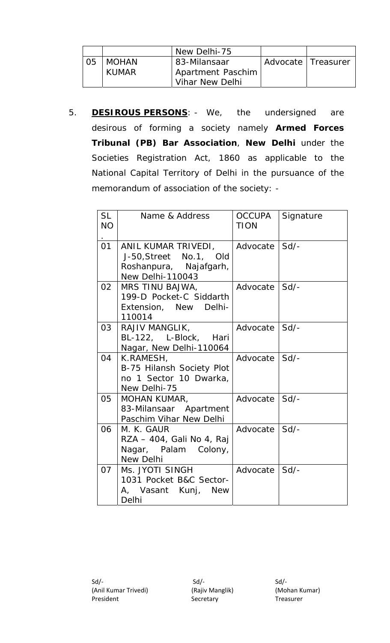|                |              | New Delhi-75             |                      |  |
|----------------|--------------|--------------------------|----------------------|--|
| 0 <sub>5</sub> | <b>MOHAN</b> | 83-Milansaar             | Advocate   Treasurer |  |
|                | <b>KUMAR</b> | <b>Apartment Paschim</b> |                      |  |
|                |              | Vihar New Delhi          |                      |  |

5. **DESIROUS PERSONS**: - We, the undersigned are desirous of forming a society namely **Armed Forces Tribunal (PB) Bar Association**, **New Delhi** under the Societies Registration Act, 1860 as applicable to the National Capital Territory of Delhi in the pursuance of the memorandum of association of the society: -

| <b>SL</b><br><b>NO</b> | Name & Address                                                                                     | <b>OCCUPA</b><br><b>TION</b> | Signature |
|------------------------|----------------------------------------------------------------------------------------------------|------------------------------|-----------|
| 01                     | ANIL KUMAR TRIVEDI,<br>J-50, Street No.1, Old<br>Roshanpura, Najafgarh,<br><b>New Delhi-110043</b> | Advocate                     | Sd        |
| 02                     | MRS TINU BAJWA,<br>199-D Pocket-C Siddarth<br>Extension, New Delhi-<br>110014                      | Advocate                     | $Sd$ -    |
| 03                     | RAJIV MANGLIK,<br>BL-122, L-Block, Hari<br>Nagar, New Delhi-110064                                 | Advocate                     | Sd        |
| 04                     | K.RAMESH,<br>B-75 Hilansh Society Plot<br>no 1 Sector 10 Dwarka,<br>New Delhi-75                   | Advocate                     | Sd        |
| 05                     | <b>MOHAN KUMAR,</b><br>83-Milansaar Apartment<br>Paschim Vihar New Delhi                           | Advocate                     | $Sd$ -    |
| 06                     | M. K. GAUR<br>RZA - 404, Gali No 4, Raj<br>Nagar, Palam Colony,<br><b>New Delhi</b>                | Advocate                     | $Sd$ -    |
| 07                     | Ms. JYOTI SINGH<br>1031 Pocket B&C Sector-<br>A, Vasant Kunj, New<br>Delhi                         | Advocate                     | Sd        |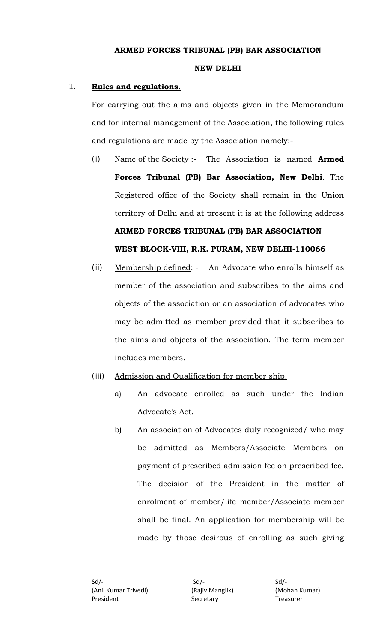#### **ARMED FORCES TRIBUNAL (PB) BAR ASSOCIATION**

#### **NEW DELHI**

#### 1. **Rules and regulations.**

For carrying out the aims and objects given in the Memorandum and for internal management of the Association, the following rules and regulations are made by the Association namely:-

- (i) Name of the Society :- The Association is named **Armed Forces Tribunal (PB) Bar Association, New Delhi**. The Registered office of the Society shall remain in the Union territory of Delhi and at present it is at the following address **ARMED FORCES TRIBUNAL (PB) BAR ASSOCIATION WEST BLOCK-VIII, R.K. PURAM, NEW DELHI-110066**
- (ii) Membership defined: An Advocate who enrolls himself as member of the association and subscribes to the aims and objects of the association or an association of advocates who may be admitted as member provided that it subscribes to the aims and objects of the association. The term member includes members.
- (iii) Admission and Qualification for member ship.
	- a) An advocate enrolled as such under the Indian Advocate's Act.
	- b) An association of Advocates duly recognized/ who may be admitted as Members/Associate Members on payment of prescribed admission fee on prescribed fee. The decision of the President in the matter of enrolment of member/life member/Associate member shall be final. An application for membership will be made by those desirous of enrolling as such giving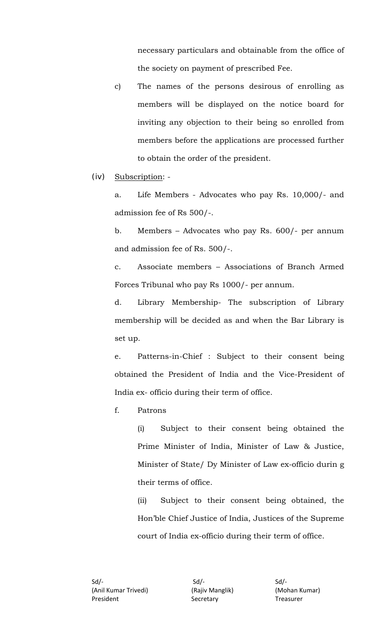necessary particulars and obtainable from the office of the society on payment of prescribed Fee.

c) The names of the persons desirous of enrolling as members will be displayed on the notice board for inviting any objection to their being so enrolled from members before the applications are processed further to obtain the order of the president.

(iv) Subscription: -

a. Life Members - Advocates who pay Rs. 10,000/- and admission fee of Rs 500/-.

b. Members – Advocates who pay Rs. 600/- per annum and admission fee of Rs. 500/-.

c. Associate members – Associations of Branch Armed Forces Tribunal who pay Rs 1000/- per annum.

d. Library Membership- The subscription of Library membership will be decided as and when the Bar Library is set up.

e. Patterns-in-Chief : Subject to their consent being obtained the President of India and the Vice-President of India ex- officio during their term of office.

f. Patrons

 (i) Subject to their consent being obtained the Prime Minister of India, Minister of Law & Justice, Minister of State/ Dy Minister of Law ex-officio durin g their terms of office.

(ii) Subject to their consent being obtained, the Hon'ble Chief Justice of India, Justices of the Supreme court of India ex-officio during their term of office.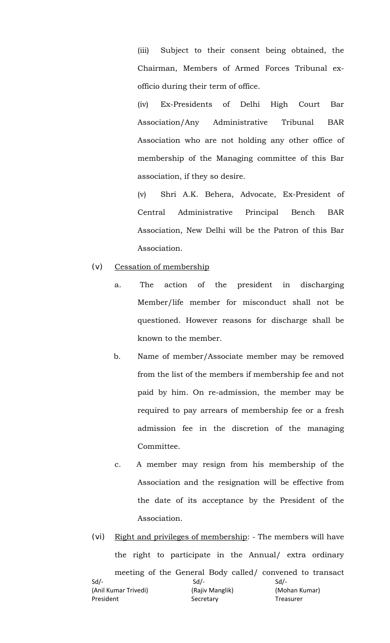(iii) Subject to their consent being obtained, the Chairman, Members of Armed Forces Tribunal exofficio during their term of office.

(iv) Ex-Presidents of Delhi High Court Bar Association/Any Administrative Tribunal BAR Association who are not holding any other office of membership of the Managing committee of this Bar association, if they so desire.

(v) Shri A.K. Behera, Advocate, Ex-President of Central Administrative Principal Bench BAR Association, New Delhi will be the Patron of this Bar Association.

- (v) Cessation of membership
	- a. The action of the president in discharging Member/life member for misconduct shall not be questioned. However reasons for discharge shall be known to the member.
	- b. Name of member/Associate member may be removed from the list of the members if membership fee and not paid by him. On re-admission, the member may be required to pay arrears of membership fee or a fresh admission fee in the discretion of the managing Committee.
	- c. A member may resign from his membership of the Association and the resignation will be effective from the date of its acceptance by the President of the Association.
- $Sd$  /-  $Sd$  /-  $Sd$  /-(Anil Kumar Trivedi) (Rajiv Manglik) (Mohan Kumar) President Secretary Treasurer (vi) Right and privileges of membership: - The members will have the right to participate in the Annual/ extra ordinary meeting of the General Body called/ convened to transact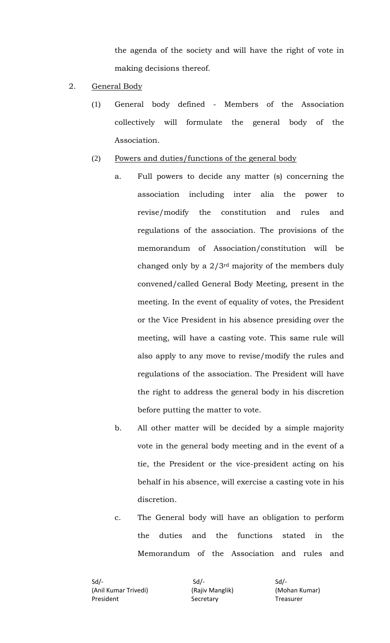the agenda of the society and will have the right of vote in making decisions thereof.

- 2. General Body
	- (1) General body defined Members of the Association collectively will formulate the general body of the Association.
	- (2) Powers and duties/functions of the general body
		- a. Full powers to decide any matter (s) concerning the association including inter alia the power to revise/modify the constitution and rules and regulations of the association. The provisions of the memorandum of Association/constitution will be changed only by a 2/3rd majority of the members duly convened/called General Body Meeting, present in the meeting. In the event of equality of votes, the President or the Vice President in his absence presiding over the meeting, will have a casting vote. This same rule will also apply to any move to revise/modify the rules and regulations of the association. The President will have the right to address the general body in his discretion before putting the matter to vote.
		- b. All other matter will be decided by a simple majority vote in the general body meeting and in the event of a tie, the President or the vice-president acting on his behalf in his absence, will exercise a casting vote in his discretion.
		- c. The General body will have an obligation to perform the duties and the functions stated in the Memorandum of the Association and rules and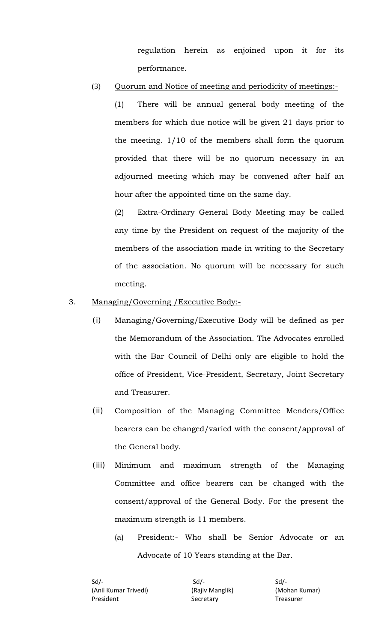regulation herein as enjoined upon it for its performance.

#### (3) Quorum and Notice of meeting and periodicity of meetings:-

(1) There will be annual general body meeting of the members for which due notice will be given 21 days prior to the meeting. 1/10 of the members shall form the quorum provided that there will be no quorum necessary in an adjourned meeting which may be convened after half an hour after the appointed time on the same day.

(2) Extra-Ordinary General Body Meeting may be called any time by the President on request of the majority of the members of the association made in writing to the Secretary of the association. No quorum will be necessary for such meeting.

#### 3. Managing/Governing /Executive Body:-

- (i) Managing/Governing/Executive Body will be defined as per the Memorandum of the Association. The Advocates enrolled with the Bar Council of Delhi only are eligible to hold the office of President, Vice-President, Secretary, Joint Secretary and Treasurer.
- (ii) Composition of the Managing Committee Menders/Office bearers can be changed/varied with the consent/approval of the General body.
- (iii) Minimum and maximum strength of the Managing Committee and office bearers can be changed with the consent/approval of the General Body. For the present the maximum strength is 11 members.
	- (a) President:- Who shall be Senior Advocate or an Advocate of 10 Years standing at the Bar.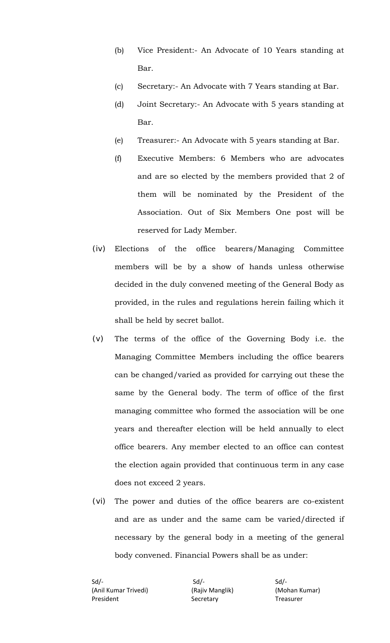- (b) Vice President:- An Advocate of 10 Years standing at Bar.
- (c) Secretary:- An Advocate with 7 Years standing at Bar.
- (d) Joint Secretary:- An Advocate with 5 years standing at Bar.
- (e) Treasurer:- An Advocate with 5 years standing at Bar.
- (f) Executive Members: 6 Members who are advocates and are so elected by the members provided that 2 of them will be nominated by the President of the Association. Out of Six Members One post will be reserved for Lady Member.
- (iv) Elections of the office bearers/Managing Committee members will be by a show of hands unless otherwise decided in the duly convened meeting of the General Body as provided, in the rules and regulations herein failing which it shall be held by secret ballot.
- (v) The terms of the office of the Governing Body i.e. the Managing Committee Members including the office bearers can be changed/varied as provided for carrying out these the same by the General body. The term of office of the first managing committee who formed the association will be one years and thereafter election will be held annually to elect office bearers. Any member elected to an office can contest the election again provided that continuous term in any case does not exceed 2 years.
- (vi) The power and duties of the office bearers are co-existent and are as under and the same cam be varied/directed if necessary by the general body in a meeting of the general body convened. Financial Powers shall be as under: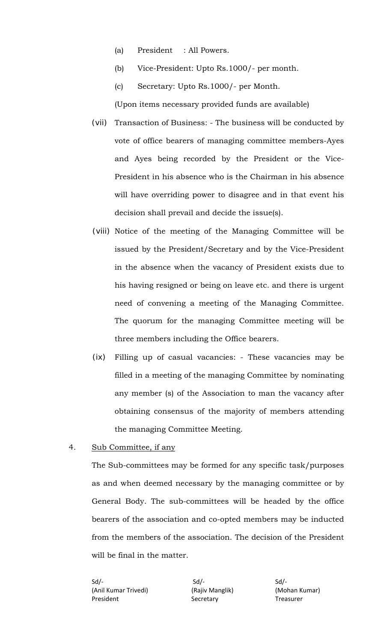- (a) President : All Powers.
- (b) Vice-President: Upto Rs.1000/- per month.
- (c) Secretary: Upto Rs.1000/- per Month.

(Upon items necessary provided funds are available)

- (vii) Transaction of Business: The business will be conducted by vote of office bearers of managing committee members-Ayes and Ayes being recorded by the President or the Vice-President in his absence who is the Chairman in his absence will have overriding power to disagree and in that event his decision shall prevail and decide the issue(s).
- (viii) Notice of the meeting of the Managing Committee will be issued by the President/Secretary and by the Vice-President in the absence when the vacancy of President exists due to his having resigned or being on leave etc. and there is urgent need of convening a meeting of the Managing Committee. The quorum for the managing Committee meeting will be three members including the Office bearers.
- (ix) Filling up of casual vacancies: These vacancies may be filled in a meeting of the managing Committee by nominating any member (s) of the Association to man the vacancy after obtaining consensus of the majority of members attending the managing Committee Meeting.
- 4. Sub Committee, if any

The Sub-committees may be formed for any specific task/purposes as and when deemed necessary by the managing committee or by General Body. The sub-committees will be headed by the office bearers of the association and co-opted members may be inducted from the members of the association. The decision of the President will be final in the matter.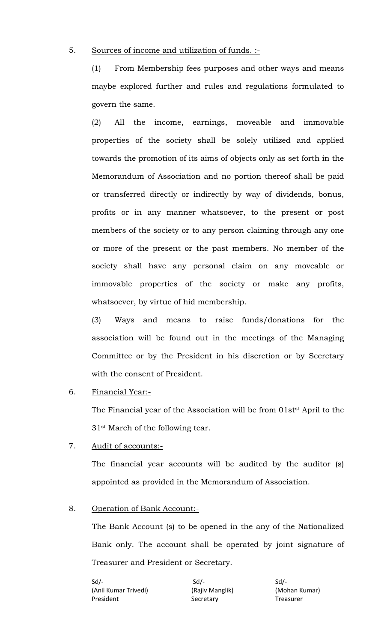#### 5. Sources of income and utilization of funds. :-

(1) From Membership fees purposes and other ways and means maybe explored further and rules and regulations formulated to govern the same.

(2) All the income, earnings, moveable and immovable properties of the society shall be solely utilized and applied towards the promotion of its aims of objects only as set forth in the Memorandum of Association and no portion thereof shall be paid or transferred directly or indirectly by way of dividends, bonus, profits or in any manner whatsoever, to the present or post members of the society or to any person claiming through any one or more of the present or the past members. No member of the society shall have any personal claim on any moveable or immovable properties of the society or make any profits, whatsoever, by virtue of hid membership.

(3) Ways and means to raise funds/donations for the association will be found out in the meetings of the Managing Committee or by the President in his discretion or by Secretary with the consent of President.

6. Financial Year:-

The Financial year of the Association will be from 01st<sup>st</sup> April to the 31st March of the following tear.

7. Audit of accounts:-

The financial year accounts will be audited by the auditor (s) appointed as provided in the Memorandum of Association.

#### 8. Operation of Bank Account:-

The Bank Account (s) to be opened in the any of the Nationalized Bank only. The account shall be operated by joint signature of Treasurer and President or Secretary.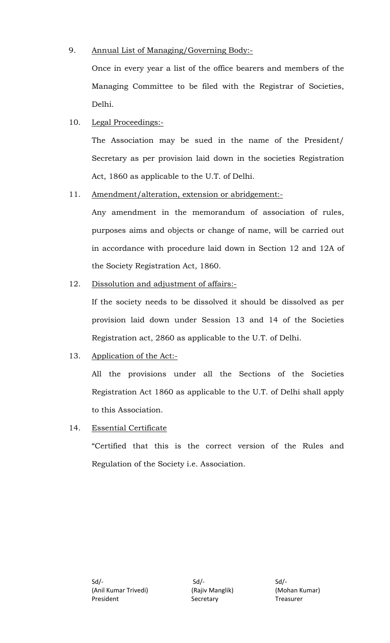## 9. Annual List of Managing/Governing Body:-

Once in every year a list of the office bearers and members of the Managing Committee to be filed with the Registrar of Societies, Delhi.

## 10. Legal Proceedings:-

The Association may be sued in the name of the President/ Secretary as per provision laid down in the societies Registration Act, 1860 as applicable to the U.T. of Delhi.

## 11. Amendment/alteration, extension or abridgement:-

Any amendment in the memorandum of association of rules, purposes aims and objects or change of name, will be carried out in accordance with procedure laid down in Section 12 and 12A of the Society Registration Act, 1860.

## 12. Dissolution and adjustment of affairs:-

If the society needs to be dissolved it should be dissolved as per provision laid down under Session 13 and 14 of the Societies Registration act, 2860 as applicable to the U.T. of Delhi.

## 13. Application of the Act:-

All the provisions under all the Sections of the Societies Registration Act 1860 as applicable to the U.T. of Delhi shall apply to this Association.

### 14. Essential Certificate

"Certified that this is the correct version of the Rules and Regulation of the Society i.e. Association.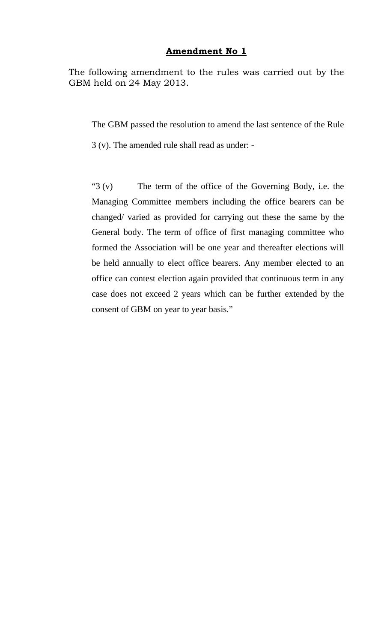#### **Amendment No 1**

The following amendment to the rules was carried out by the GBM held on 24 May 2013.

The GBM passed the resolution to amend the last sentence of the Rule

3 (v). The amended rule shall read as under: -

"3 (v) The term of the office of the Governing Body, i.e. the Managing Committee members including the office bearers can be changed/ varied as provided for carrying out these the same by the General body. The term of office of first managing committee who formed the Association will be one year and thereafter elections will be held annually to elect office bearers. Any member elected to an office can contest election again provided that continuous term in any case does not exceed 2 years which can be further extended by the consent of GBM on year to year basis."